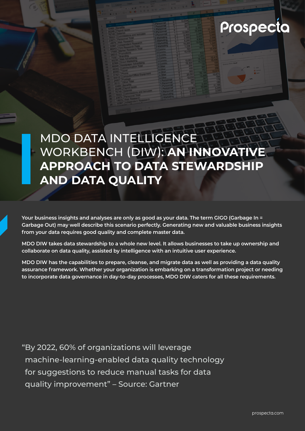

# MDO DATA INTELLIGENCE WORKBENCH (DIW): **AN INNOVATIVE APPROACH TO DATA STEWARDSHIP AND DATA QUALITY**

**Your business insights and analyses are only as good as your data. The term GIGO (Garbage In = Garbage Out) may well describe this scenario perfectly. Generating new and valuable business insights from your data requires good quality and complete master data.** 

**MDO DIW takes data stewardship to a whole new level. It allows businesses to take up ownership and collaborate on data quality, assisted by intelligence with an intuitive user experience.** 

**MDO DIW has the capabilities to prepare, cleanse, and migrate data as well as providing a data quality assurance framework. Whether your organization is embarking on a transformation project or needing to incorporate data governance in day-to-day processes, MDO DIW caters for all these requirements.** 

"By 2022, 60% of organizations will leverage machine-learning-enabled data quality technology for suggestions to reduce manual tasks for data quality improvement" – Source: Gartner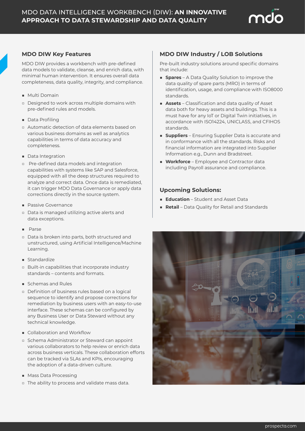

### **MDO DIW Key Features**

MDO DIW provides a workbench with pre-defined data models to validate, cleanse, and enrich data, with minimal human intervention. It ensures overall data completeness, data quality, integrity, and compliance.

- Multi Domain
- □ Designed to work across multiple domains with pre-defined rules and models.
- Data Profiling
- □ Automatic detection of data elements based on various business domains as well as analytics capabilities in terms of data accuracy and completeness.
- Data Integration
- □ Pre-defined data models and integration capabilities with systems like SAP and Salesforce, equipped with all the deep structures required to analyze and correct data. Once data is remediated, it can trigger MDO Data Governance or apply data corrections directly in the source system.
- Passive Governance
- □ Data is managed utilizing active alerts and data exceptions.
- Parse
- □ Data is broken into parts, both structured and unstructured, using Artificial Intelligence/Machine Learning.
- Standardize
- □ Built-in capabilities that incorporate industry standards – contents and formats.
- Schemas and Rules
- □ Definition of business rules based on a logical sequence to identify and propose corrections for remediation by business users with an easy-to-use interface. These schemas can be configured by any Business User or Data Steward without any technical knowledge.
- Collaboration and Workflow
- □ Schema Administrator or Steward can appoint various collaborators to help review or enrich data across business verticals. These collaboration efforts can be tracked via SLAs and KPIs, encouraging the adoption of a data-driven culture.
- Mass Data Processing
- □ The ability to process and validate mass data.

## **MDO DIW Industry / LOB Solutions**

Pre-built industry solutions around specific domains that include:

- **Spares** A Data Quality Solution to improve the data quality of spare parts (MRO) in terms of identification, usage, and compliance with ISO8000 standards.
- **Assets** Classification and data quality of Asset data both for heavy assets and buildings. This is a must have for any IoT or Digital Twin initiatives, in accordance with ISO14224, UNICLASS, and CFIHOS standards.
- **Suppliers** Ensuring Supplier Data is accurate and in conformance with all the standards. Risks and financial information are integrated into Supplier Information e.g., Dunn and Bradstreet.
- **Workforce** Employee and Contractor data including Payroll assurance and compliance.

### **Upcoming Solutions:**

- **Education** Student and Asset Data
- **Retail** Data Quality for Retail and Standards